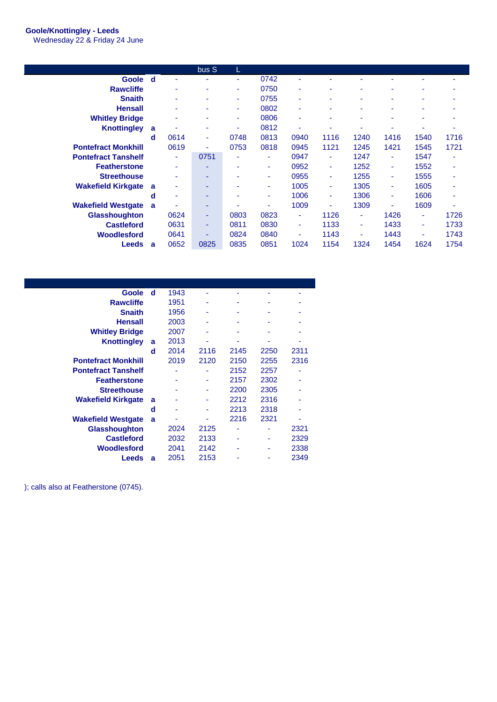## **Goole/Knottingley - Leeds**

Wednesday 22 & Friday 24 June

|                            |   |      | bus S | L.   |      |      |      |      |      |      |      |
|----------------------------|---|------|-------|------|------|------|------|------|------|------|------|
| Goole d                    |   | ٠    |       | ٠    | 0742 | ۰    |      |      |      | ۰    |      |
| <b>Rawcliffe</b>           |   | ۰    | ۰     | ٠    | 0750 | ٠    | ٠    | ۰    |      | ٠    |      |
| <b>Snaith</b>              |   | ۰    | ۰     | ٠    | 0755 | ٠    |      | ۰    |      | ۰    |      |
| <b>Hensall</b>             |   | ۰    |       | ٠    | 0802 | ٠    |      |      |      | ۰    |      |
| <b>Whitley Bridge</b>      |   | ۰    |       | ٠    | 0806 | ٠    |      | ۰    |      | ۰    |      |
| <b>Knottingley</b>         | a | ۰    | ۰     | ٠    | 0812 | ۰    |      |      |      |      |      |
|                            | d | 0614 | ٠     | 0748 | 0813 | 0940 | 1116 | 1240 | 1416 | 1540 | 1716 |
| <b>Pontefract Monkhill</b> |   | 0619 | ٠     | 0753 | 0818 | 0945 | 1121 | 1245 | 1421 | 1545 | 1721 |
| <b>Pontefract Tanshelf</b> |   | ٠    | 0751  | ٠    | ٠    | 0947 | ٠    | 1247 | ٠    | 1547 |      |
| <b>Featherstone</b>        |   | ٠    | ۰     | ٠    | ۰    | 0952 | ۰    | 1252 | ٠    | 1552 | ٠    |
| <b>Streethouse</b>         |   | ۰    | ۰     | ۰    | ۰    | 0955 | ۰    | 1255 | ٠    | 1555 |      |
| <b>Wakefield Kirkgate</b>  | a | ۰    | ۰     | ۰    | ۰    | 1005 | ۰    | 1305 | ٠    | 1605 |      |
|                            | d | ٠    | ۰     | ۰    | ۰    | 1006 | ۰    | 1306 | ٠    | 1606 |      |
| <b>Wakefield Westgate</b>  | a |      | ۰     |      | ۰    | 1009 |      | 1309 |      | 1609 |      |
| Glasshoughton              |   | 0624 | ۰     | 0803 | 0823 | ٠    | 1126 | ٠    | 1426 | ٠    | 1726 |
| <b>Castleford</b>          |   | 0631 | ٠     | 0811 | 0830 | ٠    | 1133 | ٠    | 1433 | ٠    | 1733 |
| Woodlesford                |   | 0641 | ۰     | 0824 | 0840 | ۰    | 1143 | ٠    | 1443 | ٠    | 1743 |
| Leeds                      | a | 0652 | 0825  | 0835 | 0851 | 1024 | 1154 | 1324 | 1454 | 1624 | 1754 |

| Goole                      | d | 1943 |      |      |      |      |
|----------------------------|---|------|------|------|------|------|
| <b>Rawcliffe</b>           |   | 1951 |      |      |      |      |
| <b>Snaith</b>              |   | 1956 |      |      |      |      |
| <b>Hensall</b>             |   | 2003 |      |      |      |      |
| <b>Whitley Bridge</b>      |   | 2007 | ۰    | ۰    |      |      |
| <b>Knottingley</b>         | a | 2013 | ۰    | ۰    |      |      |
|                            | d | 2014 | 2116 | 2145 | 2250 | 2311 |
| <b>Pontefract Monkhill</b> |   | 2019 | 2120 | 2150 | 2255 | 2316 |
| <b>Pontefract Tanshelf</b> |   | ۰    |      | 2152 | 2257 |      |
| <b>Featherstone</b>        |   |      |      | 2157 | 2302 |      |
| <b>Streethouse</b>         |   |      |      | 2200 | 2305 |      |
| <b>Wakefield Kirkgate</b>  | a |      |      | 2212 | 2316 |      |
|                            | d |      |      | 2213 | 2318 |      |
| <b>Wakefield Westgate</b>  | a |      |      | 2216 | 2321 |      |
| <b>Glasshoughton</b>       |   | 2024 | 2125 |      |      | 2321 |
| <b>Castleford</b>          |   | 2032 | 2133 |      |      | 2329 |
| Woodlesford                |   | 2041 | 2142 |      |      | 2338 |
| Leeds                      | a | 2051 | 2153 |      |      | 2349 |
|                            |   |      |      |      |      |      |

); calls also at Featherstone (0745).